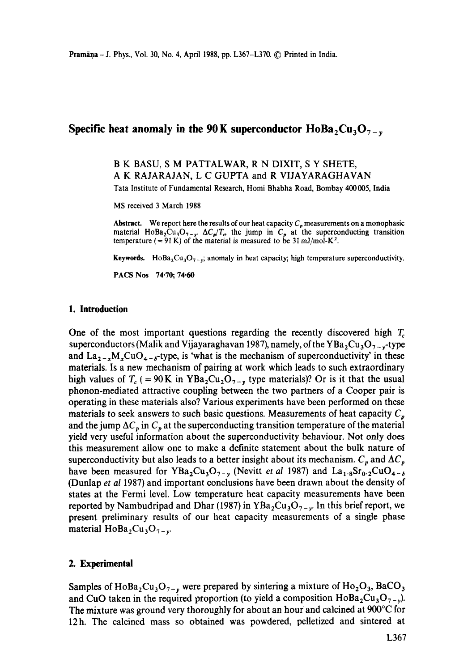# **Specific heat anomaly in the 90 K superconductor**  $H_0Ba_2Cu_3O_7$ **.**

B K BASU, S M PATTALWAR, R N DIXIT, S Y SHETE, A K RAJARAJAN, L C GUPTA and R VIJAYARAGHAVAN

Tata Institute of Fundamental Research, Homi Bhabha Road, Bombay 400005, India

MS received 3 March 1988

**Abstract.** We report here the results of our heat capacity  $C_p$  measurements on a monophasic material HoBa<sub>2</sub>Cu<sub>3</sub>O<sub>7-y</sub>  $\Delta C_p/T_c$ , the jump in  $C_p$  at the superconducting transition temperature (= 91 K) of the material is measured to be 31 mJ/mol-K<sup>2</sup>.

Keywords. HoBa<sub>2</sub>Cu<sub>3</sub>O<sub>7-y</sub>; anomaly in heat capacity; high temperature superconductivity.

**PACS Nos 74.70; 74.60** 

## **1. Introduction**

One of the most important questions regarding the recently discovered high  $T_c$ superconductors (Malik and Vijayaraghavan 1987), namely, of the YBa<sub>2</sub>Cu<sub>3</sub>O<sub>7-y</sub>-type and  $La_{2-x}M_xCuO_{4-x}$ -type, is 'what is the mechanism of superconductivity' in these materials. Is a new mechanism of pairing at work which leads to such extraordinary high values of  $T_c$  (= 90 K in YBa<sub>2</sub>Cu<sub>2</sub>O<sub>7-y</sub> type materials)? Or is it that the usual phonon-mediated attractive coupling between the two partners of a Cooper pair is operating in these materials also? Various experiments have been performed on these materials to seek answers to such basic questions. Measurements of heat capacity  $C_p$ and the jump  $\Delta C_p$  in  $C_p$  at the superconducting transition temperature of the material yield very useful information about the superconductivity behaviour. Not only does this measurement allow one to make a definite statement about the bulk nature of superconductivity but also leads to a better insight about its mechanism.  $C_p$  and  $\Delta C_p$ have been measured for YBa<sub>2</sub>Cu<sub>3</sub>O<sub>7-y</sub> (Nevitt *et al* 1987) and La<sub>1.8</sub>Sr<sub>0.2</sub>CuO<sub>4- $\delta$ </sub> (Dunlap *et al* 1987) and important conclusions have been drawn about the density of states at the Fermi level. Low temperature heat capacity measurements have been reported by Nambudripad and Dhar (1987) in  $YBa<sub>2</sub>Cu<sub>3</sub>O<sub>7-v</sub>$ . In this brief report, we present preliminary results of our heat capacity measurements of a single phase material  $H \circ Ba_2Cu_3O_{7-v}$ .

### **2. Experimental**

Samples of HoBa<sub>2</sub>Cu<sub>3</sub>O<sub>7-y</sub> were prepared by sintering a mixture of Ho<sub>2</sub>O<sub>3</sub>, BaCO<sub>3</sub> and CuO taken in the required proportion (to yield a composition  $H \circ Ba_2Cu_3O_{7-v}$ ). The mixture was ground very thoroughly for about an hour and calcined at  $900^{\circ}$ C for 12h. The calcined mass so obtained was powdered, pelletized and sintered at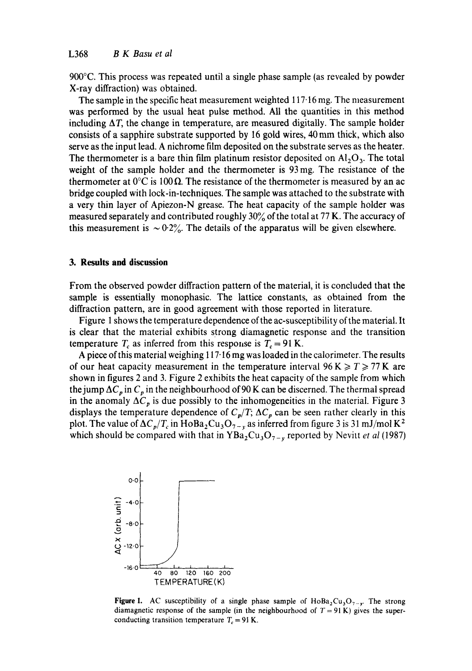900°C. This process was repeated until a single phase sample (as revealed by powder X-ray diffraction) was obtained.

The sample in the specific heat measurement weighted  $117·16$  mg. The measurement was performed by the usual heat pulse method. All the quantities in this method including  $\Delta T$ , the change in temperature, are measured digitally. The sample holder consists of a sapphire substrate supported by 16 gold wires, 40 mm thick, which also serve as the input lead. A nichrome film deposited on the substrate serves as the heater. The thermometer is a bare thin film platinum resistor deposited on  $Al_2O_3$ . The total weight of the sample holder and the thermometer is 93 mg. The resistance of the thermometer at  $0^{\circ}$ C is 100  $\Omega$ . The resistance of the thermometer is measured by an ac bridge coupled with lock-in-techniques. The sample was attached to the substrate with a very thin layer of Apiezon-N grease. The heat capacity of the sample holder was measured separately and contributed roughly  $30\%$  of the total at 77 K. The accuracy of this measurement is  $\sim 0.2\%$ . The details of the apparatus will be given elsewhere.

### **3. Results and discussion**

From the observed powder diffraction pattern of the material, it is concluded that the sample is essentially monophasic. The lattice constants, as obtained from the diffraction pattern, are in good agreement with those reported in literature.

Figure 1 shows the temperature dependence of the ac-susceptibility of the material. It is clear that the material exhibits strong diamagnetic response and the transition temperature  $T_c$  as inferred from this response is  $T_c = 91$  K.

A piece of this material weighing 117.16 mg was loaded in the calorimeter. The results of our heat capacity measurement in the temperature interval  $96 K \ge T \ge 77 K$  are shown in figures 2 and 3. Figure 2 exhibits the heat capacity of the sample from which the jump  $\Delta C_p$  in  $C_p$  in the neighbourhood of 90 K can be discerned. The thermal spread in the anomaly  $\Delta C_p$  is due possibly to the inhomogeneities in the material. Figure 3 displays the temperature dependence of  $C_p/T$ ;  $\Delta C_p$  can be seen rather clearly in this plot. The value of  $\Delta C_p/T_c$  in HoBa<sub>2</sub>Cu<sub>3</sub>O<sub>7-y</sub> as inferred from figure 3 is 31 mJ/mol K<sup>2</sup> which should be compared with that in  $YBa_2Cu_3O_{7-y}$  reported by Nevitt *et al* (1987)



**Figure 1.** AC susceptibility of a single phase sample of HoBa<sub>2</sub>Cu<sub>3</sub>O<sub>7-v</sub>. The strong diamagnetic response of the sample (in the neighbourhood of  $T = 91$  K) gives the superconducting transition temperature  $T_c = 91$  K.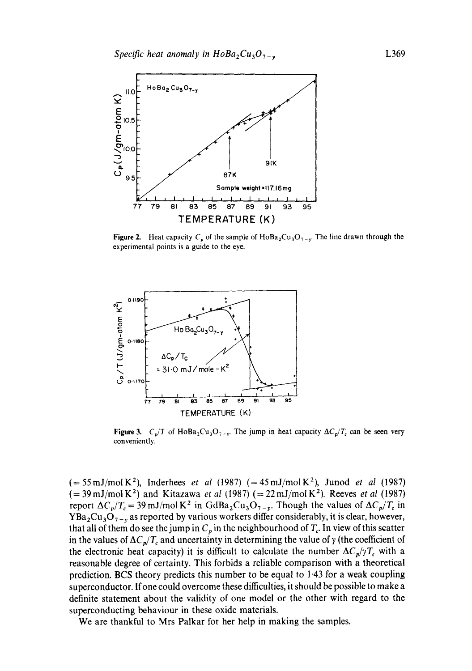

**Figure 2.** Heat capacity  $C_p$  of the sample of HoBa<sub>2</sub>Cu<sub>3</sub>O<sub>7-y</sub>. The line drawn through the experimental points is a guide to the eye.



**Figure 3.** *C<sub>p</sub>*/T of HoBa<sub>2</sub>Cu<sub>3</sub>O<sub>7-y</sub>. The jump in heat capacity  $\Delta C_p/T_c$  can be seen very conveniently.

 $(=55 \text{ mJ/mol K}^2)$ , Inderhees *et al* (1987)  $(=45 \text{ mJ/mol K}^2)$ , Junod *et al* (1987)  $(= 39 \text{ mJ/mol K}^2)$  and Kitazawa *et al* (1987)  $(= 22 \text{ mJ/mol K}^2)$ . Reeves *et al* (1987) report  $\Delta C_p/T_c = 39 \text{ mJ/mol K}^2$  in GdBa<sub>2</sub>Cu<sub>3</sub>O<sub>7-y</sub>. Though the values of  $\Delta C_p/T_c$  in  $YBa<sub>2</sub>Cu<sub>3</sub>O<sub>7-y</sub>$  as reported by various workers differ considerably, it is clear, however, that all of them do see the jump in  $C_p$  in the neighbourhood of  $T_c$ . In view of this scatter in the values of  $\Delta C_p/T_c$  and uncertainty in determining the value of  $\gamma$  (the coefficient of the electronic heat capacity) it is difficult to calculate the number  $\Delta C_p/\gamma T_c$  with a reasonable degree of certainty. This forbids a reliable comparison with a theoretical prediction. BCS theory predicts this number to be equal to 1-43 for a weak coupling superconductor. If one could overcome these difficulties, it should be possible to make a definite statement about the validity of one model or the other with regard to the superconducting behaviour in these oxide materials.

We are thankful to Mrs Palkar for her help in making the samples.